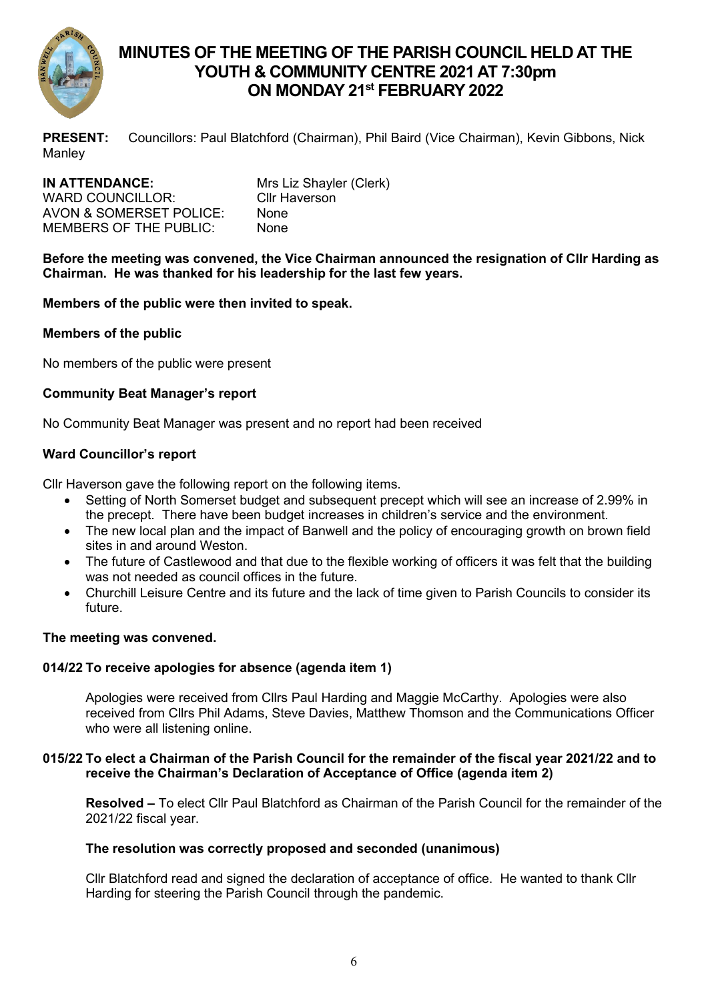

# **MINUTES OF THE MEETING OF THE PARISH COUNCIL HELD AT THE YOUTH & COMMUNITY CENTRE 2021 AT 7:30pm ON MONDAY 21 st FEBRUARY 2022**

**PRESENT:** Councillors: Paul Blatchford (Chairman), Phil Baird (Vice Chairman), Kevin Gibbons, Nick **Manley** 

| IN ATTENDANCE:                | Mrs Liz Shayler (Clerk) |
|-------------------------------|-------------------------|
| WARD COUNCILLOR:              | Cllr Haverson           |
| AVON & SOMERSET POLICE:       | <b>None</b>             |
| <b>MEMBERS OF THE PUBLIC:</b> | <b>None</b>             |

**Before the meeting was convened, the Vice Chairman announced the resignation of Cllr Harding as Chairman. He was thanked for his leadership for the last few years.**

### **Members of the public were then invited to speak.**

### **Members of the public**

No members of the public were present

### **Community Beat Manager's report**

No Community Beat Manager was present and no report had been received

### **Ward Councillor's report**

Cllr Haverson gave the following report on the following items.

- Setting of North Somerset budget and subsequent precept which will see an increase of 2.99% in the precept. There have been budget increases in children's service and the environment.
- The new local plan and the impact of Banwell and the policy of encouraging growth on brown field sites in and around Weston.
- The future of Castlewood and that due to the flexible working of officers it was felt that the building was not needed as council offices in the future.
- Churchill Leisure Centre and its future and the lack of time given to Parish Councils to consider its future.

### **The meeting was convened.**

## **014/22 To receive apologies for absence (agenda item 1)**

Apologies were received from Cllrs Paul Harding and Maggie McCarthy. Apologies were also received from Cllrs Phil Adams, Steve Davies, Matthew Thomson and the Communications Officer who were all listening online.

### **015/22 To elect a Chairman of the Parish Council for the remainder of the fiscal year 2021/22 and to receive the Chairman's Declaration of Acceptance of Office (agenda item 2)**

**Resolved –** To elect Cllr Paul Blatchford as Chairman of the Parish Council for the remainder of the 2021/22 fiscal year.

### **The resolution was correctly proposed and seconded (unanimous)**

Cllr Blatchford read and signed the declaration of acceptance of office. He wanted to thank Cllr Harding for steering the Parish Council through the pandemic.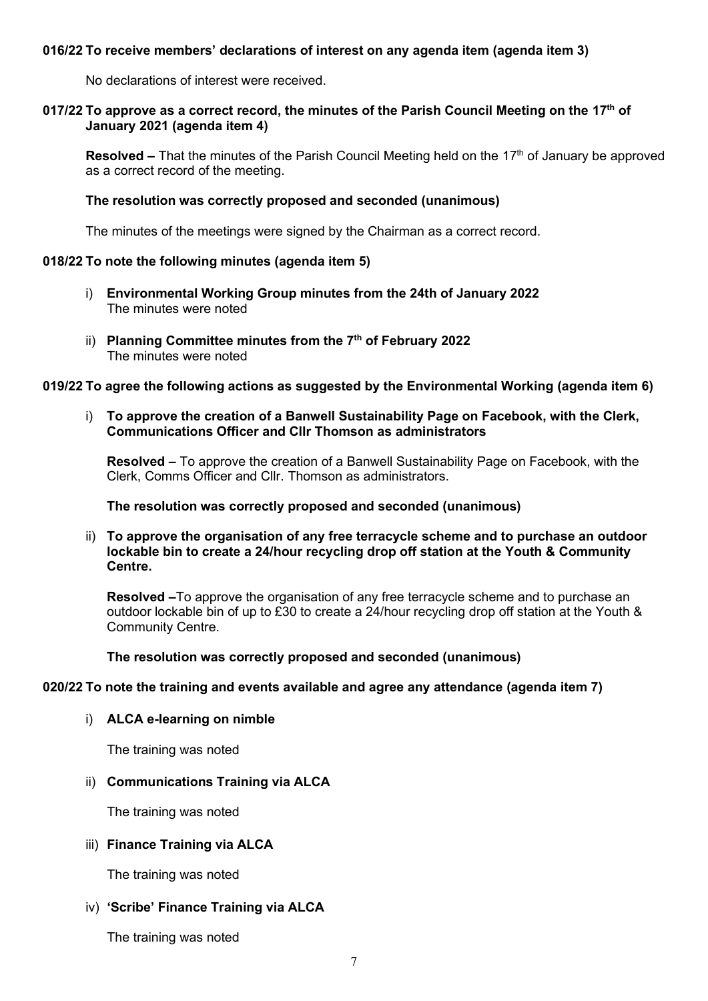### **016/22 To receive members' declarations of interest on any agenda item (agenda item 3)**

No declarations of interest were received.

#### **017/22 To approve as a correct record, the minutes of the Parish Council Meeting on the 17th of January 2021 (agenda item 4)**

**Resolved –** That the minutes of the Parish Council Meeting held on the 17<sup>th</sup> of January be approved as a correct record of the meeting.

#### **The resolution was correctly proposed and seconded (unanimous)**

The minutes of the meetings were signed by the Chairman as a correct record.

#### **018/22 To note the following minutes (agenda item 5)**

- i) **Environmental Working Group minutes from the 24th of January 2022** The minutes were noted
- ii) **Planning Committee minutes from the 7th of February 2022** The minutes were noted

#### **019/22 To agree the following actions as suggested by the Environmental Working (agenda item 6)**

i) **To approve the creation of a Banwell Sustainability Page on Facebook, with the Clerk, Communications Officer and Cllr Thomson as administrators**

**Resolved –** To approve the creation of a Banwell Sustainability Page on Facebook, with the Clerk, Comms Officer and Cllr. Thomson as administrators.

#### **The resolution was correctly proposed and seconded (unanimous)**

ii) **To approve the organisation of any free terracycle scheme and to purchase an outdoor lockable bin to create a 24/hour recycling drop off station at the Youth & Community Centre.**

**Resolved –**To approve the organisation of any free terracycle scheme and to purchase an outdoor lockable bin of up to £30 to create a 24/hour recycling drop off station at the Youth & Community Centre.

**The resolution was correctly proposed and seconded (unanimous)**

#### **020/22 To note the training and events available and agree any attendance (agenda item 7)**

#### i) **ALCA e-learning on nimble**

The training was noted

### ii) **Communications Training via ALCA**

The training was noted

### iii) **Finance Training via ALCA**

The training was noted

### iv) **'Scribe' Finance Training via ALCA**

The training was noted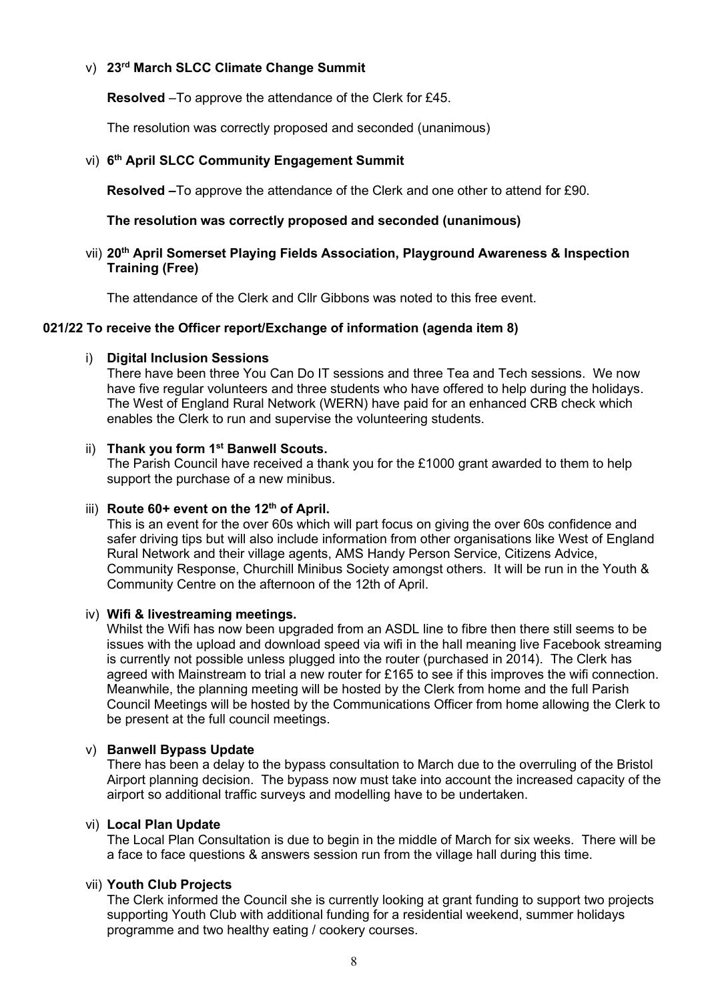### v) **23rd March SLCC Climate Change Summit**

**Resolved** –To approve the attendance of the Clerk for £45.

The resolution was correctly proposed and seconded (unanimous)

### vi) **6 th April SLCC Community Engagement Summit**

**Resolved –**To approve the attendance of the Clerk and one other to attend for £90.

### **The resolution was correctly proposed and seconded (unanimous)**

vii) **20th April Somerset Playing Fields Association, Playground Awareness & Inspection Training (Free)**

The attendance of the Clerk and Cllr Gibbons was noted to this free event.

### **021/22 To receive the Officer report/Exchange of information (agenda item 8)**

### i) **Digital Inclusion Sessions**

There have been three You Can Do IT sessions and three Tea and Tech sessions. We now have five regular volunteers and three students who have offered to help during the holidays. The West of England Rural Network (WERN) have paid for an enhanced CRB check which enables the Clerk to run and supervise the volunteering students.

### ii) **Thank you form 1st Banwell Scouts.**

The Parish Council have received a thank you for the £1000 grant awarded to them to help support the purchase of a new minibus.

### iii) **Route 60+ event on the 12th of April.**

This is an event for the over 60s which will part focus on giving the over 60s confidence and safer driving tips but will also include information from other organisations like West of England Rural Network and their village agents, AMS Handy Person Service, Citizens Advice, Community Response, Churchill Minibus Society amongst others. It will be run in the Youth & Community Centre on the afternoon of the 12th of April.

### iv) **Wifi & livestreaming meetings.**

Whilst the Wifi has now been upgraded from an ASDL line to fibre then there still seems to be issues with the upload and download speed via wifi in the hall meaning live Facebook streaming is currently not possible unless plugged into the router (purchased in 2014). The Clerk has agreed with Mainstream to trial a new router for £165 to see if this improves the wifi connection. Meanwhile, the planning meeting will be hosted by the Clerk from home and the full Parish Council Meetings will be hosted by the Communications Officer from home allowing the Clerk to be present at the full council meetings.

### v) **Banwell Bypass Update**

There has been a delay to the bypass consultation to March due to the overruling of the Bristol Airport planning decision. The bypass now must take into account the increased capacity of the airport so additional traffic surveys and modelling have to be undertaken.

### vi) **Local Plan Update**

The Local Plan Consultation is due to begin in the middle of March for six weeks. There will be a face to face questions & answers session run from the village hall during this time.

### vii) **Youth Club Projects**

The Clerk informed the Council she is currently looking at grant funding to support two projects supporting Youth Club with additional funding for a residential weekend, summer holidays programme and two healthy eating / cookery courses.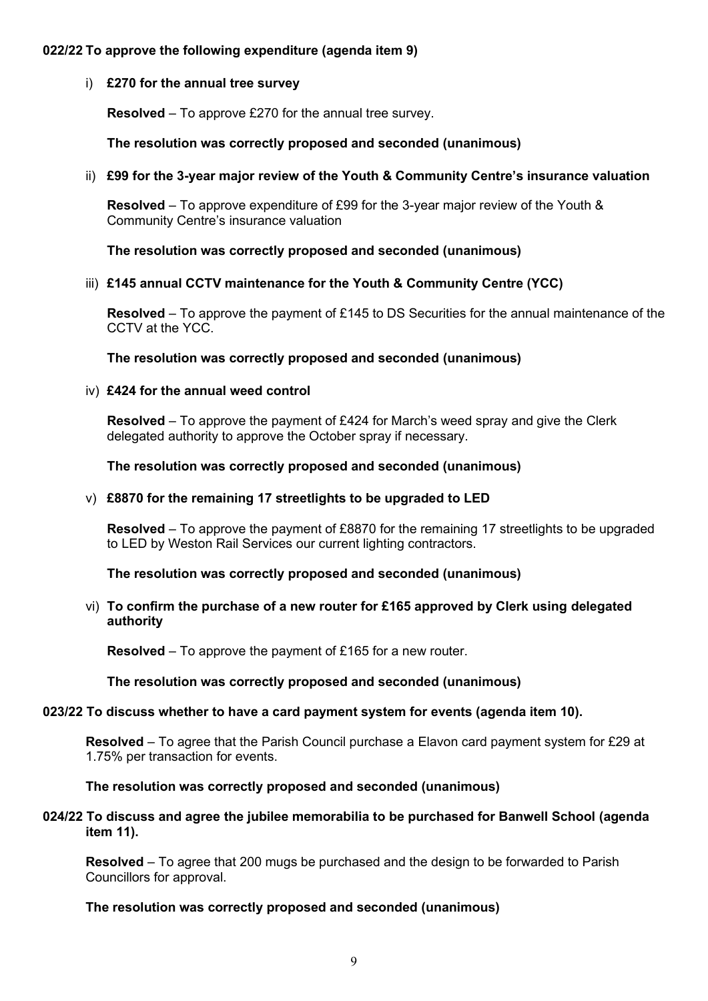### **022/22 To approve the following expenditure (agenda item 9)**

### i) **£270 for the annual tree survey**

**Resolved** – To approve £270 for the annual tree survey.

**The resolution was correctly proposed and seconded (unanimous)**

### ii) **£99 for the 3-year major review of the Youth & Community Centre's insurance valuation**

**Resolved** – To approve expenditure of £99 for the 3-year major review of the Youth & Community Centre's insurance valuation

**The resolution was correctly proposed and seconded (unanimous)**

### iii) **£145 annual CCTV maintenance for the Youth & Community Centre (YCC)**

**Resolved** – To approve the payment of £145 to DS Securities for the annual maintenance of the CCTV at the YCC.

**The resolution was correctly proposed and seconded (unanimous)**

### iv) **£424 for the annual weed control**

**Resolved** – To approve the payment of £424 for March's weed spray and give the Clerk delegated authority to approve the October spray if necessary.

**The resolution was correctly proposed and seconded (unanimous)**

#### v) **£8870 for the remaining 17 streetlights to be upgraded to LED**

**Resolved** – To approve the payment of £8870 for the remaining 17 streetlights to be upgraded to LED by Weston Rail Services our current lighting contractors.

**The resolution was correctly proposed and seconded (unanimous)**

### vi) **To confirm the purchase of a new router for £165 approved by Clerk using delegated authority**

**Resolved** – To approve the payment of £165 for a new router.

### **The resolution was correctly proposed and seconded (unanimous)**

#### **023/22 To discuss whether to have a card payment system for events (agenda item 10).**

**Resolved** – To agree that the Parish Council purchase a Elavon card payment system for £29 at 1.75% per transaction for events.

#### **The resolution was correctly proposed and seconded (unanimous)**

#### **024/22 To discuss and agree the jubilee memorabilia to be purchased for Banwell School (agenda item 11).**

**Resolved** – To agree that 200 mugs be purchased and the design to be forwarded to Parish Councillors for approval.

### **The resolution was correctly proposed and seconded (unanimous)**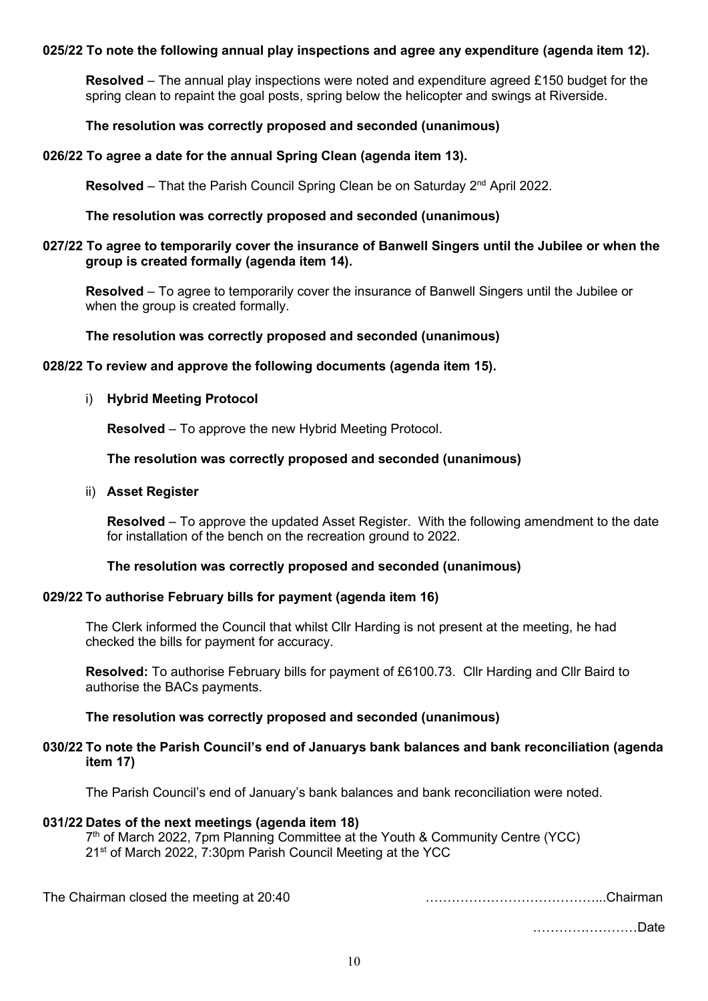#### **025/22 To note the following annual play inspections and agree any expenditure (agenda item 12).**

**Resolved** – The annual play inspections were noted and expenditure agreed £150 budget for the spring clean to repaint the goal posts, spring below the helicopter and swings at Riverside.

#### **The resolution was correctly proposed and seconded (unanimous)**

#### **026/22 To agree a date for the annual Spring Clean (agenda item 13).**

**Resolved** – That the Parish Council Spring Clean be on Saturday  $2^{nd}$  April 2022.

### **The resolution was correctly proposed and seconded (unanimous)**

#### **027/22 To agree to temporarily cover the insurance of Banwell Singers until the Jubilee or when the group is created formally (agenda item 14).**

**Resolved** – To agree to temporarily cover the insurance of Banwell Singers until the Jubilee or when the group is created formally.

#### **The resolution was correctly proposed and seconded (unanimous)**

#### **028/22 To review and approve the following documents (agenda item 15).**

#### i) **Hybrid Meeting Protocol**

**Resolved** – To approve the new Hybrid Meeting Protocol.

**The resolution was correctly proposed and seconded (unanimous)**

#### ii) **Asset Register**

**Resolved** – To approve the updated Asset Register. With the following amendment to the date for installation of the bench on the recreation ground to 2022.

#### **The resolution was correctly proposed and seconded (unanimous)**

#### **029/22 To authorise February bills for payment (agenda item 16)**

The Clerk informed the Council that whilst Cllr Harding is not present at the meeting, he had checked the bills for payment for accuracy.

**Resolved:** To authorise February bills for payment of £6100.73. Cllr Harding and Cllr Baird to authorise the BACs payments.

#### **The resolution was correctly proposed and seconded (unanimous)**

#### **030/22 To note the Parish Council's end of Januarys bank balances and bank reconciliation (agenda item 17)**

The Parish Council's end of January's bank balances and bank reconciliation were noted.

### **031/22 Dates of the next meetings (agenda item 18)**

7<sup>th</sup> of March 2022, 7pm Planning Committee at the Youth & Community Centre (YCC) 21<sup>st</sup> of March 2022, 7:30pm Parish Council Meeting at the YCC

The Chairman closed the meeting at 20:40 …………………………………...Chairman

……………………Date